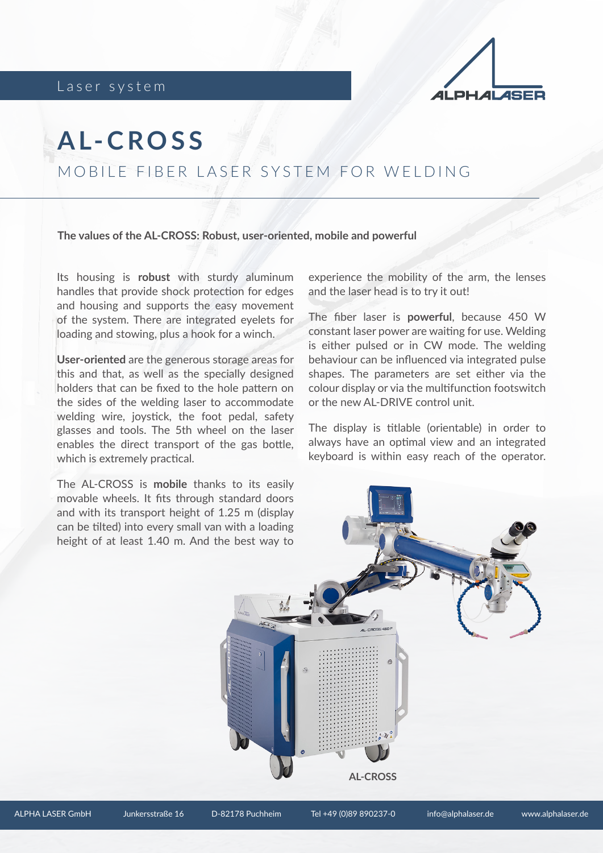Laser system



## **A L- C R O S S**

MOBILE FIBER LASER SYSTEM FOR WELDING

**The values of the AL-CROSS: Robust, user-oriented, mobile and powerful**

Its housing is **robust** with sturdy aluminum handles that provide shock protection for edges and housing and supports the easy movement of the system. There are integrated eyelets for loading and stowing, plus a hook for a winch.

**User-oriented** are the generous storage areas for this and that, as well as the specially designed holders that can be fixed to the hole pattern on the sides of the welding laser to accommodate welding wire, joystick, the foot pedal, safety glasses and tools. The 5th wheel on the laser enables the direct transport of the gas bottle, which is extremely practical.

The AL-CROSS is **mobile** thanks to its easily movable wheels. It fits through standard doors and with its transport height of 1.25 m (display can be tilted) into every small van with a loading height of at least 1.40 m. And the best way to

experience the mobility of the arm, the lenses and the laser head is to try it out!

The fiber laser is **powerful**, because 450 W constant laser power are waiting for use. Welding is either pulsed or in CW mode. The welding behaviour can be influenced via integrated pulse shapes. The parameters are set either via the colour display or via the multifunction footswitch or the new AL-DRIVE control unit.

The display is titlable (orientable) in order to always have an optimal view and an integrated keyboard is within easy reach of the operator.